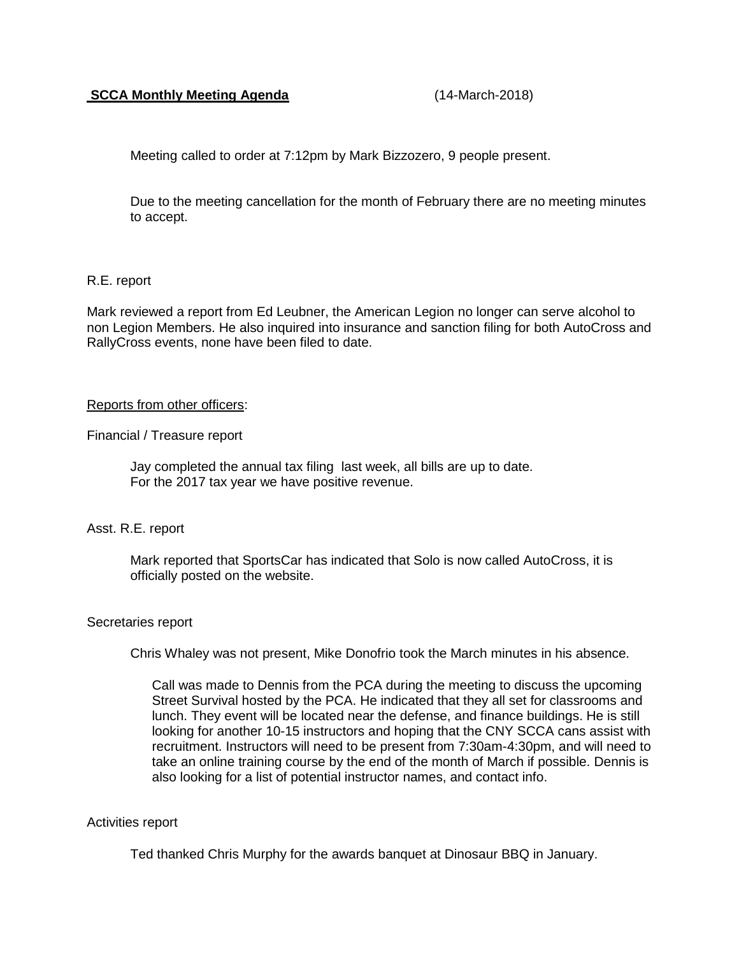## **SCCA Monthly Meeting Agenda** (14-March-2018)

Meeting called to order at 7:12pm by Mark Bizzozero, 9 people present.

Due to the meeting cancellation for the month of February there are no meeting minutes to accept.

# R.E. report

Mark reviewed a report from Ed Leubner, the American Legion no longer can serve alcohol to non Legion Members. He also inquired into insurance and sanction filing for both AutoCross and RallyCross events, none have been filed to date.

## Reports from other officers:

Financial / Treasure report

Jay completed the annual tax filing last week, all bills are up to date. For the 2017 tax year we have positive revenue.

## Asst. R.E. report

Mark reported that SportsCar has indicated that Solo is now called AutoCross, it is officially posted on the website.

#### Secretaries report

Chris Whaley was not present, Mike Donofrio took the March minutes in his absence.

Call was made to Dennis from the PCA during the meeting to discuss the upcoming Street Survival hosted by the PCA. He indicated that they all set for classrooms and lunch. They event will be located near the defense, and finance buildings. He is still looking for another 10-15 instructors and hoping that the CNY SCCA cans assist with recruitment. Instructors will need to be present from 7:30am-4:30pm, and will need to take an online training course by the end of the month of March if possible. Dennis is also looking for a list of potential instructor names, and contact info.

## Activities report

Ted thanked Chris Murphy for the awards banquet at Dinosaur BBQ in January.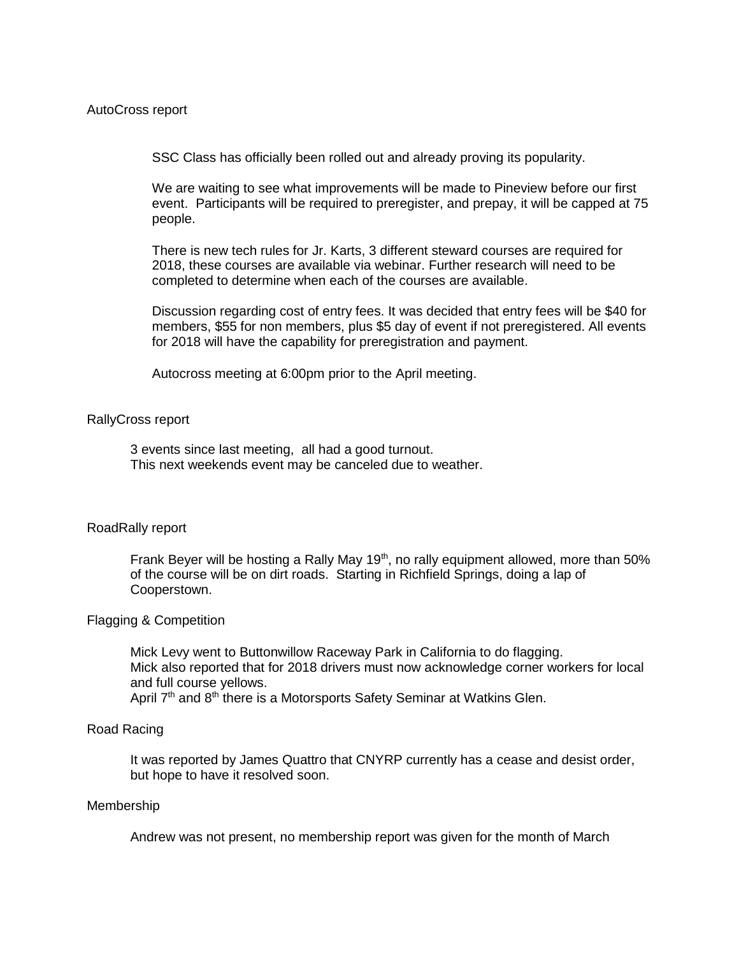SSC Class has officially been rolled out and already proving its popularity.

We are waiting to see what improvements will be made to Pineview before our first event. Participants will be required to preregister, and prepay, it will be capped at 75 people.

There is new tech rules for Jr. Karts, 3 different steward courses are required for 2018, these courses are available via webinar. Further research will need to be completed to determine when each of the courses are available.

Discussion regarding cost of entry fees. It was decided that entry fees will be \$40 for members, \$55 for non members, plus \$5 day of event if not preregistered. All events for 2018 will have the capability for preregistration and payment.

Autocross meeting at 6:00pm prior to the April meeting.

#### RallyCross report

3 events since last meeting, all had a good turnout. This next weekends event may be canceled due to weather.

## RoadRally report

Frank Beyer will be hosting a Rally May 19<sup>th</sup>, no rally equipment allowed, more than 50% of the course will be on dirt roads. Starting in Richfield Springs, doing a lap of Cooperstown.

#### Flagging & Competition

Mick Levy went to Buttonwillow Raceway Park in California to do flagging. Mick also reported that for 2018 drivers must now acknowledge corner workers for local and full course yellows.

April 7<sup>th</sup> and 8<sup>th</sup> there is a Motorsports Safety Seminar at Watkins Glen.

## Road Racing

It was reported by James Quattro that CNYRP currently has a cease and desist order, but hope to have it resolved soon.

#### Membership

Andrew was not present, no membership report was given for the month of March